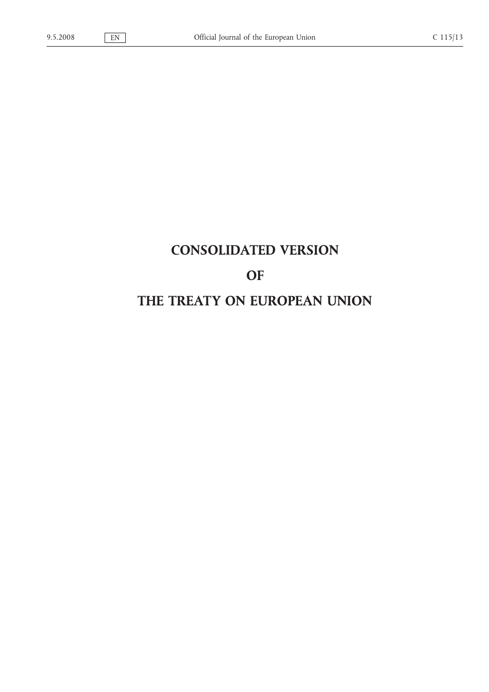# **CONSOLIDATED VERSION OF**

## **THE TREATY ON EUROPEAN UNION**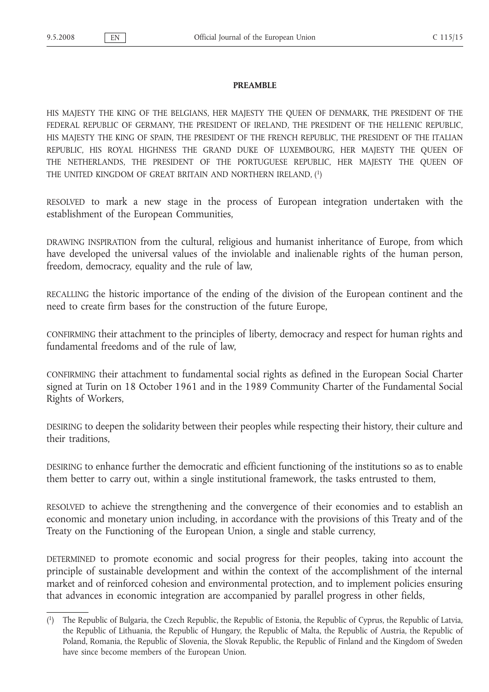#### **PREAMBLE**

HIS MAJESTY THE KING OF THE BELGIANS, HER MAJESTY THE QUEEN OF DENMARK, THE PRESIDENT OF THE FEDERAL REPUBLIC OF GERMANY, THE PRESIDENT OF IRELAND, THE PRESIDENT OF THE HELLENIC REPUBLIC, HIS MAJESTY THE KING OF SPAIN, THE PRESIDENT OF THE FRENCH REPUBLIC, THE PRESIDENT OF THE ITALIAN REPUBLIC, HIS ROYAL HIGHNESS THE GRAND DUKE OF LUXEMBOURG, HER MAJESTY THE QUEEN OF THE NETHERLANDS, THE PRESIDENT OF THE PORTUGUESE REPUBLIC, HER MAJESTY THE QUEEN OF THE UNITED KINGDOM OF GREAT BRITAIN AND NORTHERN IRELAND, (1)

RESOLVED to mark a new stage in the process of European integration undertaken with the establishment of the European Communities,

DRAWING INSPIRATION from the cultural, religious and humanist inheritance of Europe, from which have developed the universal values of the inviolable and inalienable rights of the human person, freedom, democracy, equality and the rule of law,

RECALLING the historic importance of the ending of the division of the European continent and the need to create firm bases for the construction of the future Europe,

CONFIRMING their attachment to the principles of liberty, democracy and respect for human rights and fundamental freedoms and of the rule of law,

CONFIRMING their attachment to fundamental social rights as defined in the European Social Charter signed at Turin on 18 October 1961 and in the 1989 Community Charter of the Fundamental Social Rights of Workers,

DESIRING to deepen the solidarity between their peoples while respecting their history, their culture and their traditions,

DESIRING to enhance further the democratic and efficient functioning of the institutions so as to enable them better to carry out, within a single institutional framework, the tasks entrusted to them,

RESOLVED to achieve the strengthening and the convergence of their economies and to establish an economic and monetary union including, in accordance with the provisions of this Treaty and of the Treaty on the Functioning of the European Union, a single and stable currency,

DETERMINED to promote economic and social progress for their peoples, taking into account the principle of sustainable development and within the context of the accomplishment of the internal market and of reinforced cohesion and environmental protection, and to implement policies ensuring that advances in economic integration are accompanied by parallel progress in other fields,

<sup>(</sup> 1) The Republic of Bulgaria, the Czech Republic, the Republic of Estonia, the Republic of Cyprus, the Republic of Latvia, the Republic of Lithuania, the Republic of Hungary, the Republic of Malta, the Republic of Austria, the Republic of Poland, Romania, the Republic of Slovenia, the Slovak Republic, the Republic of Finland and the Kingdom of Sweden have since become members of the European Union.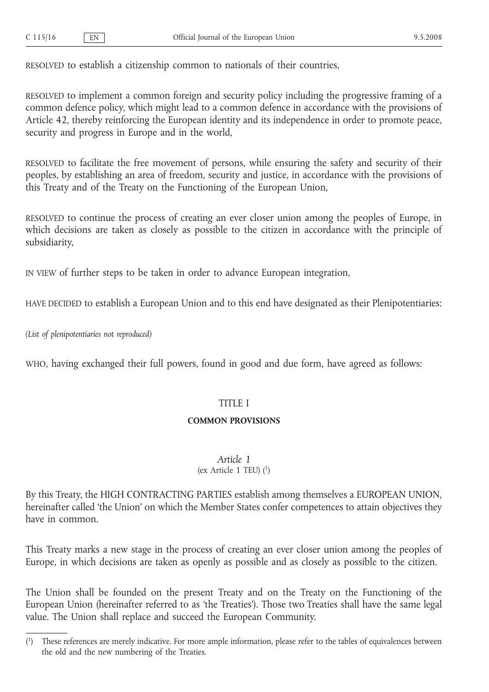RESOLVED to establish a citizenship common to nationals of their countries,

RESOLVED to implement a common foreign and security policy including the progressive framing of a common defence policy, which might lead to a common defence in accordance with the provisions of Article 42, thereby reinforcing the European identity and its independence in order to promote peace, security and progress in Europe and in the world,

RESOLVED to facilitate the free movement of persons, while ensuring the safety and security of their peoples, by establishing an area of freedom, security and justice, in accordance with the provisions of this Treaty and of the Treaty on the Functioning of the European Union,

RESOLVED to continue the process of creating an ever closer union among the peoples of Europe, in which decisions are taken as closely as possible to the citizen in accordance with the principle of subsidiarity,

IN VIEW of further steps to be taken in order to advance European integration,

HAVE DECIDED to establish a European Union and to this end have designated as their Plenipotentiaries:

*(List of plenipotentiaries not reproduced)*

WHO, having exchanged their full powers, found in good and due form, have agreed as follows:

## TITLE I

## **COMMON PROVISIONS**

## *Article 1* (ex Article 1 TEU) (1)

By this Treaty, the HIGH CONTRACTING PARTIES establish among themselves a EUROPEAN UNION, hereinafter called 'the Union' on which the Member States confer competences to attain objectives they have in common.

This Treaty marks a new stage in the process of creating an ever closer union among the peoples of Europe, in which decisions are taken as openly as possible and as closely as possible to the citizen.

The Union shall be founded on the present Treaty and on the Treaty on the Functioning of the European Union (hereinafter referred to as 'the Treaties'). Those two Treaties shall have the same legal value. The Union shall replace and succeed the European Community.

<sup>(</sup> 1) These references are merely indicative. For more ample information, please refer to the tables of equivalences between the old and the new numbering of the Treaties.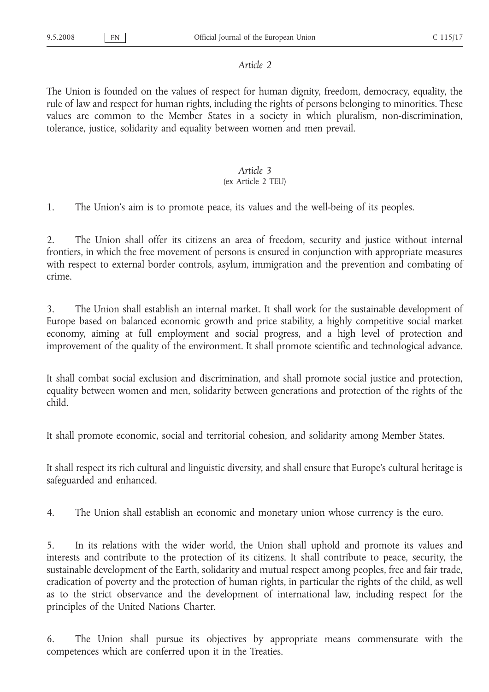#### *Article 2*

The Union is founded on the values of respect for human dignity, freedom, democracy, equality, the rule of law and respect for human rights, including the rights of persons belonging to minorities. These values are common to the Member States in a society in which pluralism, non-discrimination, tolerance, justice, solidarity and equality between women and men prevail.

## *Article 3*

## (ex Article 2 TEU)

1. The Union's aim is to promote peace, its values and the well-being of its peoples.

2. The Union shall offer its citizens an area of freedom, security and justice without internal frontiers, in which the free movement of persons is ensured in conjunction with appropriate measures with respect to external border controls, asylum, immigration and the prevention and combating of crime.

3. The Union shall establish an internal market. It shall work for the sustainable development of Europe based on balanced economic growth and price stability, a highly competitive social market economy, aiming at full employment and social progress, and a high level of protection and improvement of the quality of the environment. It shall promote scientific and technological advance.

It shall combat social exclusion and discrimination, and shall promote social justice and protection, equality between women and men, solidarity between generations and protection of the rights of the child.

It shall promote economic, social and territorial cohesion, and solidarity among Member States.

It shall respect its rich cultural and linguistic diversity, and shall ensure that Europe's cultural heritage is safeguarded and enhanced.

4. The Union shall establish an economic and monetary union whose currency is the euro.

5. In its relations with the wider world, the Union shall uphold and promote its values and interests and contribute to the protection of its citizens. It shall contribute to peace, security, the sustainable development of the Earth, solidarity and mutual respect among peoples, free and fair trade, eradication of poverty and the protection of human rights, in particular the rights of the child, as well as to the strict observance and the development of international law, including respect for the principles of the United Nations Charter.

6. The Union shall pursue its objectives by appropriate means commensurate with the competences which are conferred upon it in the Treaties.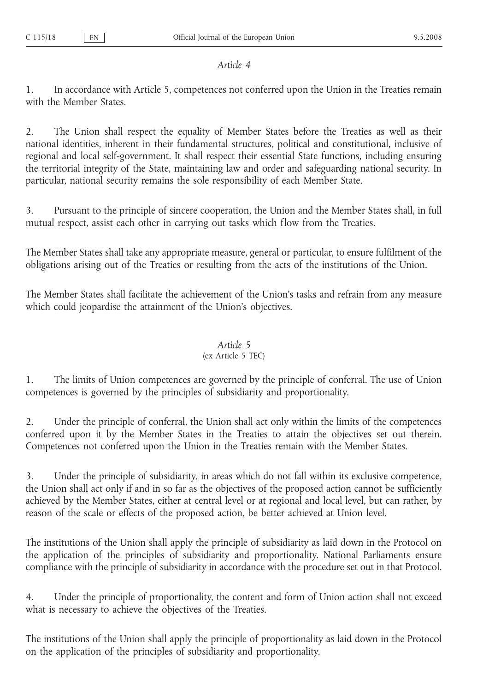#### *Article 4*

1. In accordance with Article 5, competences not conferred upon the Union in the Treaties remain with the Member States.

2. The Union shall respect the equality of Member States before the Treaties as well as their national identities, inherent in their fundamental structures, political and constitutional, inclusive of regional and local self-government. It shall respect their essential State functions, including ensuring the territorial integrity of the State, maintaining law and order and safeguarding national security. In particular, national security remains the sole responsibility of each Member State.

3. Pursuant to the principle of sincere cooperation, the Union and the Member States shall, in full mutual respect, assist each other in carrying out tasks which flow from the Treaties.

The Member States shall take any appropriate measure, general or particular, to ensure fulfilment of the obligations arising out of the Treaties or resulting from the acts of the institutions of the Union.

The Member States shall facilitate the achievement of the Union's tasks and refrain from any measure which could jeopardise the attainment of the Union's objectives.

## *Article 5* (ex Article 5 TEC)

1. The limits of Union competences are governed by the principle of conferral. The use of Union competences is governed by the principles of subsidiarity and proportionality.

2. Under the principle of conferral, the Union shall act only within the limits of the competences conferred upon it by the Member States in the Treaties to attain the objectives set out therein. Competences not conferred upon the Union in the Treaties remain with the Member States.

3. Under the principle of subsidiarity, in areas which do not fall within its exclusive competence, the Union shall act only if and in so far as the objectives of the proposed action cannot be sufficiently achieved by the Member States, either at central level or at regional and local level, but can rather, by reason of the scale or effects of the proposed action, be better achieved at Union level.

The institutions of the Union shall apply the principle of subsidiarity as laid down in the Protocol on the application of the principles of subsidiarity and proportionality. National Parliaments ensure compliance with the principle of subsidiarity in accordance with the procedure set out in that Protocol.

4. Under the principle of proportionality, the content and form of Union action shall not exceed what is necessary to achieve the objectives of the Treaties.

The institutions of the Union shall apply the principle of proportionality as laid down in the Protocol on the application of the principles of subsidiarity and proportionality.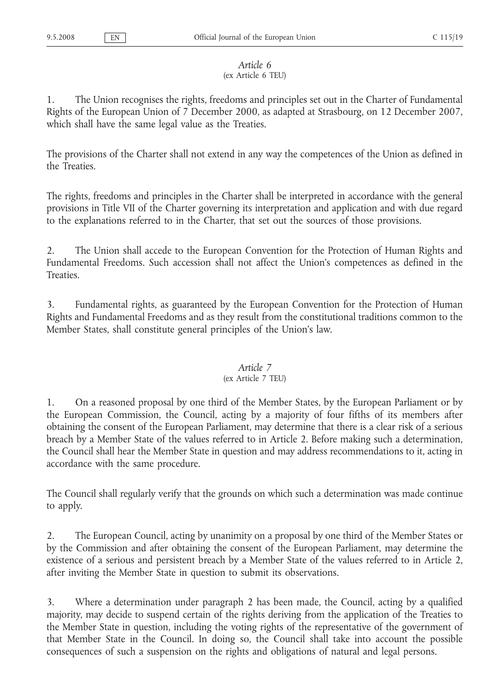## *Article 6* (ex Article 6 TEU)

1. The Union recognises the rights, freedoms and principles set out in the Charter of Fundamental Rights of the European Union of 7 December 2000, as adapted at Strasbourg, on 12 December 2007, which shall have the same legal value as the Treaties.

The provisions of the Charter shall not extend in any way the competences of the Union as defined in the Treaties.

The rights, freedoms and principles in the Charter shall be interpreted in accordance with the general provisions in Title VII of the Charter governing its interpretation and application and with due regard to the explanations referred to in the Charter, that set out the sources of those provisions.

2. The Union shall accede to the European Convention for the Protection of Human Rights and Fundamental Freedoms. Such accession shall not affect the Union's competences as defined in the Treaties.

3. Fundamental rights, as guaranteed by the European Convention for the Protection of Human Rights and Fundamental Freedoms and as they result from the constitutional traditions common to the Member States, shall constitute general principles of the Union's law.

## *Article 7*

## (ex Article 7 TEU)

1. On a reasoned proposal by one third of the Member States, by the European Parliament or by the European Commission, the Council, acting by a majority of four fifths of its members after obtaining the consent of the European Parliament, may determine that there is a clear risk of a serious breach by a Member State of the values referred to in Article 2. Before making such a determination, the Council shall hear the Member State in question and may address recommendations to it, acting in accordance with the same procedure.

The Council shall regularly verify that the grounds on which such a determination was made continue to apply.

2. The European Council, acting by unanimity on a proposal by one third of the Member States or by the Commission and after obtaining the consent of the European Parliament, may determine the existence of a serious and persistent breach by a Member State of the values referred to in Article 2, after inviting the Member State in question to submit its observations.

3. Where a determination under paragraph 2 has been made, the Council, acting by a qualified majority, may decide to suspend certain of the rights deriving from the application of the Treaties to the Member State in question, including the voting rights of the representative of the government of that Member State in the Council. In doing so, the Council shall take into account the possible consequences of such a suspension on the rights and obligations of natural and legal persons.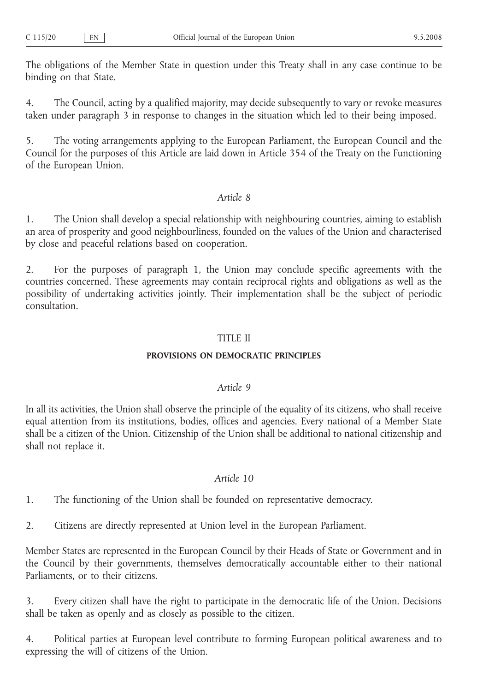The obligations of the Member State in question under this Treaty shall in any case continue to be binding on that State.

4. The Council, acting by a qualified majority, may decide subsequently to vary or revoke measures taken under paragraph 3 in response to changes in the situation which led to their being imposed.

5. The voting arrangements applying to the European Parliament, the European Council and the Council for the purposes of this Article are laid down in Article 354 of the Treaty on the Functioning of the European Union.

#### *Article 8*

1. The Union shall develop a special relationship with neighbouring countries, aiming to establish an area of prosperity and good neighbourliness, founded on the values of the Union and characterised by close and peaceful relations based on cooperation.

2. For the purposes of paragraph 1, the Union may conclude specific agreements with the countries concerned. These agreements may contain reciprocal rights and obligations as well as the possibility of undertaking activities jointly. Their implementation shall be the subject of periodic consultation.

#### TITLE II

#### **PROVISIONS ON DEMOCRATIC PRINCIPLES**

#### *Article 9*

In all its activities, the Union shall observe the principle of the equality of its citizens, who shall receive equal attention from its institutions, bodies, offices and agencies. Every national of a Member State shall be a citizen of the Union. Citizenship of the Union shall be additional to national citizenship and shall not replace it.

## *Article 10*

1. The functioning of the Union shall be founded on representative democracy.

2. Citizens are directly represented at Union level in the European Parliament.

Member States are represented in the European Council by their Heads of State or Government and in the Council by their governments, themselves democratically accountable either to their national Parliaments, or to their citizens.

3. Every citizen shall have the right to participate in the democratic life of the Union. Decisions shall be taken as openly and as closely as possible to the citizen.

4. Political parties at European level contribute to forming European political awareness and to expressing the will of citizens of the Union.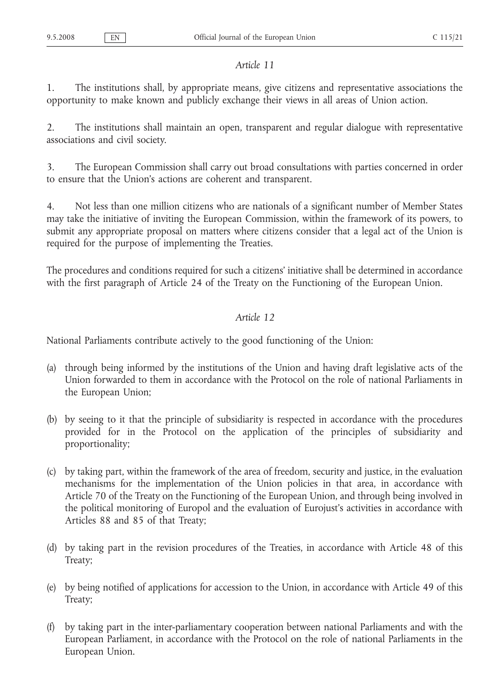## *Article 11*

1. The institutions shall, by appropriate means, give citizens and representative associations the opportunity to make known and publicly exchange their views in all areas of Union action.

2. The institutions shall maintain an open, transparent and regular dialogue with representative associations and civil society.

3. The European Commission shall carry out broad consultations with parties concerned in order to ensure that the Union's actions are coherent and transparent.

4. Not less than one million citizens who are nationals of a significant number of Member States may take the initiative of inviting the European Commission, within the framework of its powers, to submit any appropriate proposal on matters where citizens consider that a legal act of the Union is required for the purpose of implementing the Treaties.

The procedures and conditions required for such a citizens' initiative shall be determined in accordance with the first paragraph of Article 24 of the Treaty on the Functioning of the European Union.

## *Article 12*

National Parliaments contribute actively to the good functioning of the Union:

- (a) through being informed by the institutions of the Union and having draft legislative acts of the Union forwarded to them in accordance with the Protocol on the role of national Parliaments in the European Union;
- (b) by seeing to it that the principle of subsidiarity is respected in accordance with the procedures provided for in the Protocol on the application of the principles of subsidiarity and proportionality;
- (c) by taking part, within the framework of the area of freedom, security and justice, in the evaluation mechanisms for the implementation of the Union policies in that area, in accordance with Article 70 of the Treaty on the Functioning of the European Union, and through being involved in the political monitoring of Europol and the evaluation of Eurojust's activities in accordance with Articles 88 and 85 of that Treaty;
- (d) by taking part in the revision procedures of the Treaties, in accordance with Article 48 of this Treaty;
- (e) by being notified of applications for accession to the Union, in accordance with Article 49 of this Treaty;
- (f) by taking part in the inter-parliamentary cooperation between national Parliaments and with the European Parliament, in accordance with the Protocol on the role of national Parliaments in the European Union.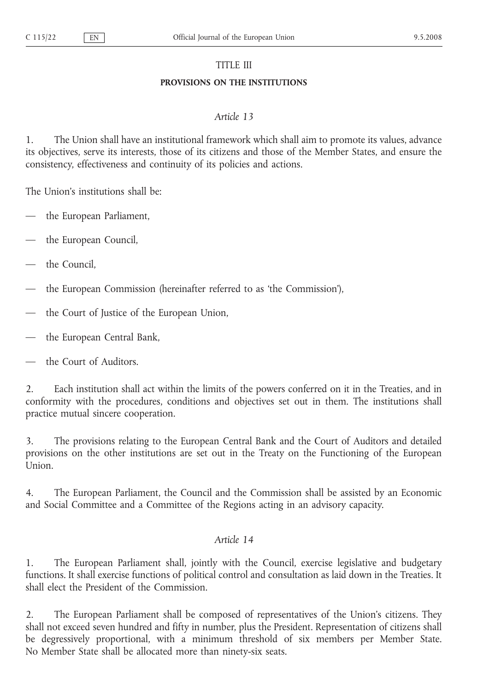#### TITLE III

#### **PROVISIONS ON THE INSTITUTIONS**

## *Article 13*

1. The Union shall have an institutional framework which shall aim to promote its values, advance its objectives, serve its interests, those of its citizens and those of the Member States, and ensure the consistency, effectiveness and continuity of its policies and actions.

The Union's institutions shall be:

- the European Parliament,
- the European Council,
- the Council,
- the European Commission (hereinafter referred to as 'the Commission'),
- the Court of Justice of the European Union,
- the European Central Bank,
- the Court of Auditors.

2. Each institution shall act within the limits of the powers conferred on it in the Treaties, and in conformity with the procedures, conditions and objectives set out in them. The institutions shall practice mutual sincere cooperation.

3. The provisions relating to the European Central Bank and the Court of Auditors and detailed provisions on the other institutions are set out in the Treaty on the Functioning of the European Union.

4. The European Parliament, the Council and the Commission shall be assisted by an Economic and Social Committee and a Committee of the Regions acting in an advisory capacity.

## *Article 14*

1. The European Parliament shall, jointly with the Council, exercise legislative and budgetary functions. It shall exercise functions of political control and consultation as laid down in the Treaties. It shall elect the President of the Commission.

2. The European Parliament shall be composed of representatives of the Union's citizens. They shall not exceed seven hundred and fifty in number, plus the President. Representation of citizens shall be degressively proportional, with a minimum threshold of six members per Member State. No Member State shall be allocated more than ninety-six seats.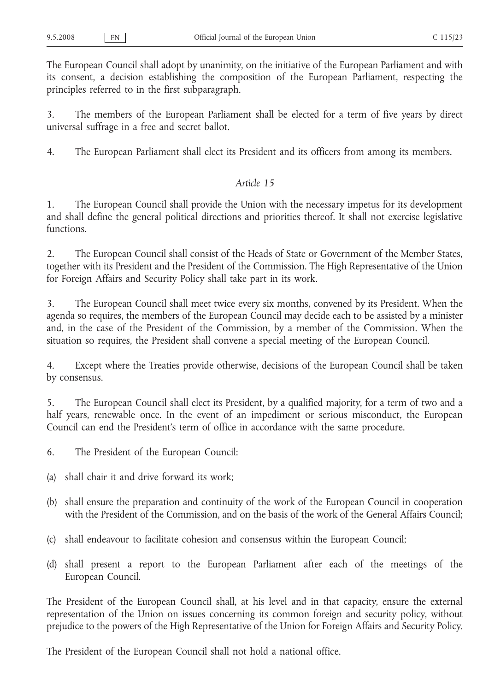The European Council shall adopt by unanimity, on the initiative of the European Parliament and with its consent, a decision establishing the composition of the European Parliament, respecting the principles referred to in the first subparagraph.

3. The members of the European Parliament shall be elected for a term of five years by direct universal suffrage in a free and secret ballot.

4. The European Parliament shall elect its President and its officers from among its members.

## *Article 15*

1. The European Council shall provide the Union with the necessary impetus for its development and shall define the general political directions and priorities thereof. It shall not exercise legislative functions.

2. The European Council shall consist of the Heads of State or Government of the Member States, together with its President and the President of the Commission. The High Representative of the Union for Foreign Affairs and Security Policy shall take part in its work.

3. The European Council shall meet twice every six months, convened by its President. When the agenda so requires, the members of the European Council may decide each to be assisted by a minister and, in the case of the President of the Commission, by a member of the Commission. When the situation so requires, the President shall convene a special meeting of the European Council.

4. Except where the Treaties provide otherwise, decisions of the European Council shall be taken by consensus.

5. The European Council shall elect its President, by a qualified majority, for a term of two and a half years, renewable once. In the event of an impediment or serious misconduct, the European Council can end the President's term of office in accordance with the same procedure.

- 6. The President of the European Council:
- (a) shall chair it and drive forward its work;
- (b) shall ensure the preparation and continuity of the work of the European Council in cooperation with the President of the Commission, and on the basis of the work of the General Affairs Council;
- (c) shall endeavour to facilitate cohesion and consensus within the European Council;
- (d) shall present a report to the European Parliament after each of the meetings of the European Council.

The President of the European Council shall, at his level and in that capacity, ensure the external representation of the Union on issues concerning its common foreign and security policy, without prejudice to the powers of the High Representative of the Union for Foreign Affairs and Security Policy.

The President of the European Council shall not hold a national office.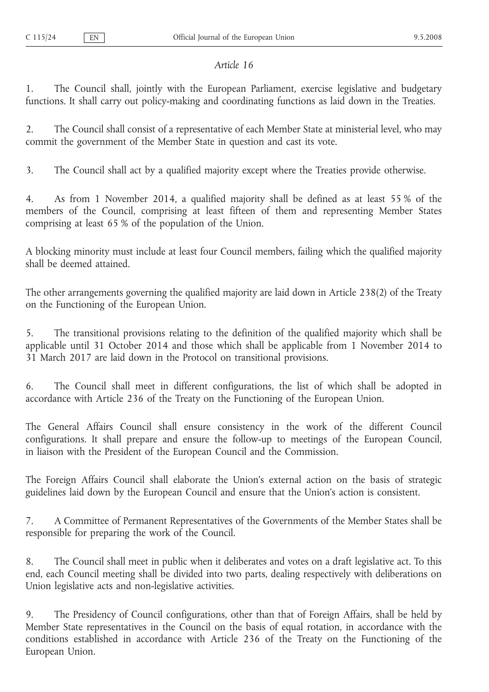## *Article 16*

1. The Council shall, jointly with the European Parliament, exercise legislative and budgetary functions. It shall carry out policy-making and coordinating functions as laid down in the Treaties.

2. The Council shall consist of a representative of each Member State at ministerial level, who may commit the government of the Member State in question and cast its vote.

3. The Council shall act by a qualified majority except where the Treaties provide otherwise.

4. As from 1 November 2014, a qualified majority shall be defined as at least 55 % of the members of the Council, comprising at least fifteen of them and representing Member States comprising at least 65 % of the population of the Union.

A blocking minority must include at least four Council members, failing which the qualified majority shall be deemed attained.

The other arrangements governing the qualified majority are laid down in Article 238(2) of the Treaty on the Functioning of the European Union.

5. The transitional provisions relating to the definition of the qualified majority which shall be applicable until 31 October 2014 and those which shall be applicable from 1 November 2014 to 31 March 2017 are laid down in the Protocol on transitional provisions.

6. The Council shall meet in different configurations, the list of which shall be adopted in accordance with Article 236 of the Treaty on the Functioning of the European Union.

The General Affairs Council shall ensure consistency in the work of the different Council configurations. It shall prepare and ensure the follow-up to meetings of the European Council, in liaison with the President of the European Council and the Commission.

The Foreign Affairs Council shall elaborate the Union's external action on the basis of strategic guidelines laid down by the European Council and ensure that the Union's action is consistent.

7. A Committee of Permanent Representatives of the Governments of the Member States shall be responsible for preparing the work of the Council.

8. The Council shall meet in public when it deliberates and votes on a draft legislative act. To this end, each Council meeting shall be divided into two parts, dealing respectively with deliberations on Union legislative acts and non-legislative activities.

9. The Presidency of Council configurations, other than that of Foreign Affairs, shall be held by Member State representatives in the Council on the basis of equal rotation, in accordance with the conditions established in accordance with Article 236 of the Treaty on the Functioning of the European Union.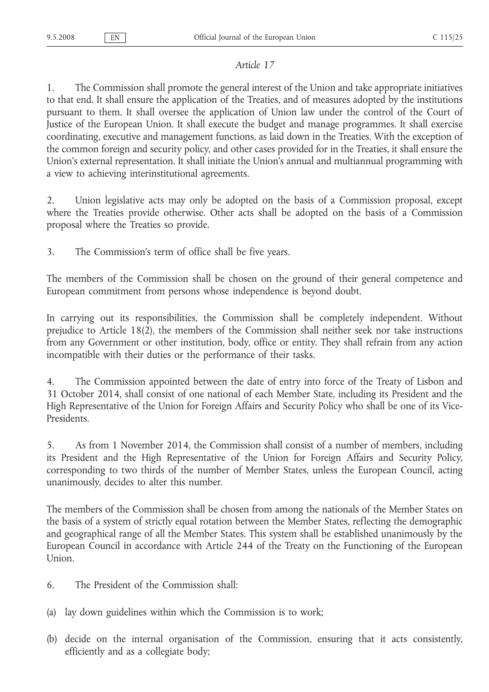## *Article 17*

1. The Commission shall promote the general interest of the Union and take appropriate initiatives to that end. It shall ensure the application of the Treaties, and of measures adopted by the institutions pursuant to them. It shall oversee the application of Union law under the control of the Court of Justice of the European Union. It shall execute the budget and manage programmes. It shall exercise coordinating, executive and management functions, as laid down in the Treaties. With the exception of the common foreign and security policy, and other cases provided for in the Treaties, it shall ensure the Union's external representation. It shall initiate the Union's annual and multiannual programming with a view to achieving interinstitutional agreements.

2. Union legislative acts may only be adopted on the basis of a Commission proposal, except where the Treaties provide otherwise. Other acts shall be adopted on the basis of a Commission proposal where the Treaties so provide.

3. The Commission's term of office shall be five years.

The members of the Commission shall be chosen on the ground of their general competence and European commitment from persons whose independence is beyond doubt.

In carrying out its responsibilities, the Commission shall be completely independent. Without prejudice to Article 18(2), the members of the Commission shall neither seek nor take instructions from any Government or other institution, body, office or entity. They shall refrain from any action incompatible with their duties or the performance of their tasks.

4. The Commission appointed between the date of entry into force of the Treaty of Lisbon and 31 October 2014, shall consist of one national of each Member State, including its President and the High Representative of the Union for Foreign Affairs and Security Policy who shall be one of its Vice-Presidents.

5. As from 1 November 2014, the Commission shall consist of a number of members, including its President and the High Representative of the Union for Foreign Affairs and Security Policy, corresponding to two thirds of the number of Member States, unless the European Council, acting unanimously, decides to alter this number.

The members of the Commission shall be chosen from among the nationals of the Member States on the basis of a system of strictly equal rotation between the Member States, reflecting the demographic and geographical range of all the Member States. This system shall be established unanimously by the European Council in accordance with Article 244 of the Treaty on the Functioning of the European Union.

- 6. The President of the Commission shall:
- (a) lay down guidelines within which the Commission is to work;
- (b) decide on the internal organisation of the Commission, ensuring that it acts consistently, efficiently and as a collegiate body;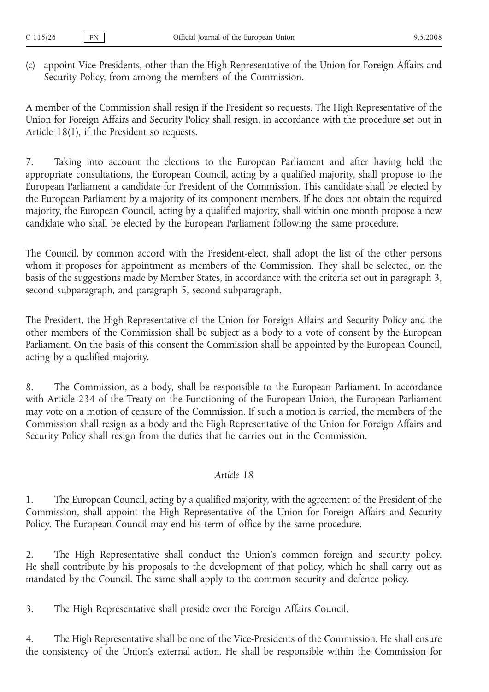(c) appoint Vice-Presidents, other than the High Representative of the Union for Foreign Affairs and Security Policy, from among the members of the Commission.

A member of the Commission shall resign if the President so requests. The High Representative of the Union for Foreign Affairs and Security Policy shall resign, in accordance with the procedure set out in Article 18(1), if the President so requests.

7. Taking into account the elections to the European Parliament and after having held the appropriate consultations, the European Council, acting by a qualified majority, shall propose to the European Parliament a candidate for President of the Commission. This candidate shall be elected by the European Parliament by a majority of its component members. If he does not obtain the required majority, the European Council, acting by a qualified majority, shall within one month propose a new candidate who shall be elected by the European Parliament following the same procedure.

The Council, by common accord with the President-elect, shall adopt the list of the other persons whom it proposes for appointment as members of the Commission. They shall be selected, on the basis of the suggestions made by Member States, in accordance with the criteria set out in paragraph 3, second subparagraph, and paragraph 5, second subparagraph.

The President, the High Representative of the Union for Foreign Affairs and Security Policy and the other members of the Commission shall be subject as a body to a vote of consent by the European Parliament. On the basis of this consent the Commission shall be appointed by the European Council, acting by a qualified majority.

8. The Commission, as a body, shall be responsible to the European Parliament. In accordance with Article 234 of the Treaty on the Functioning of the European Union, the European Parliament may vote on a motion of censure of the Commission. If such a motion is carried, the members of the Commission shall resign as a body and the High Representative of the Union for Foreign Affairs and Security Policy shall resign from the duties that he carries out in the Commission.

## *Article 18*

1. The European Council, acting by a qualified majority, with the agreement of the President of the Commission, shall appoint the High Representative of the Union for Foreign Affairs and Security Policy. The European Council may end his term of office by the same procedure.

2. The High Representative shall conduct the Union's common foreign and security policy. He shall contribute by his proposals to the development of that policy, which he shall carry out as mandated by the Council. The same shall apply to the common security and defence policy.

3. The High Representative shall preside over the Foreign Affairs Council.

4. The High Representative shall be one of the Vice-Presidents of the Commission. He shall ensure the consistency of the Union's external action. He shall be responsible within the Commission for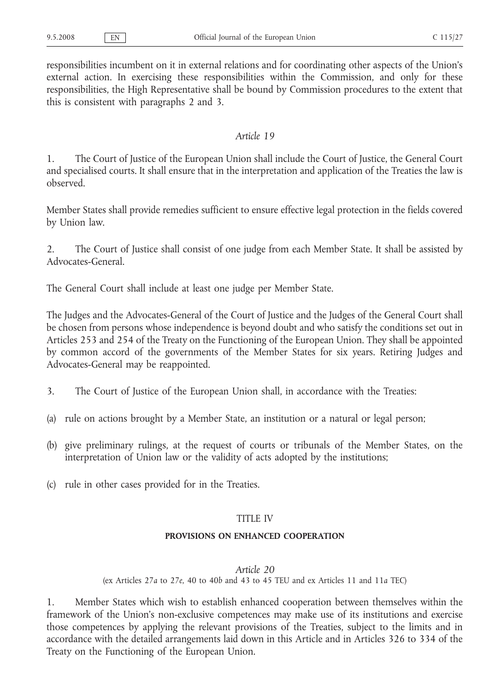responsibilities incumbent on it in external relations and for coordinating other aspects of the Union's external action. In exercising these responsibilities within the Commission, and only for these responsibilities, the High Representative shall be bound by Commission procedures to the extent that this is consistent with paragraphs 2 and 3.

#### *Article 19*

1. The Court of Justice of the European Union shall include the Court of Justice, the General Court and specialised courts. It shall ensure that in the interpretation and application of the Treaties the law is observed.

Member States shall provide remedies sufficient to ensure effective legal protection in the fields covered by Union law.

2. The Court of Justice shall consist of one judge from each Member State. It shall be assisted by Advocates-General.

The General Court shall include at least one judge per Member State.

The Judges and the Advocates-General of the Court of Justice and the Judges of the General Court shall be chosen from persons whose independence is beyond doubt and who satisfy the conditions set out in Articles 253 and 254 of the Treaty on the Functioning of the European Union. They shall be appointed by common accord of the governments of the Member States for six years. Retiring Judges and Advocates-General may be reappointed.

- 3. The Court of Justice of the European Union shall, in accordance with the Treaties:
- (a) rule on actions brought by a Member State, an institution or a natural or legal person;
- (b) give preliminary rulings, at the request of courts or tribunals of the Member States, on the interpretation of Union law or the validity of acts adopted by the institutions;
- (c) rule in other cases provided for in the Treaties.

#### TITLE IV

#### **PROVISIONS ON ENHANCED COOPERATION**

#### *Article 20*

(ex Articles 27*a* to 27*e*, 40 to 40*b* and 43 to 45 TEU and ex Articles 11 and 11*a* TEC)

1. Member States which wish to establish enhanced cooperation between themselves within the framework of the Union's non-exclusive competences may make use of its institutions and exercise those competences by applying the relevant provisions of the Treaties, subject to the limits and in accordance with the detailed arrangements laid down in this Article and in Articles 326 to 334 of the Treaty on the Functioning of the European Union.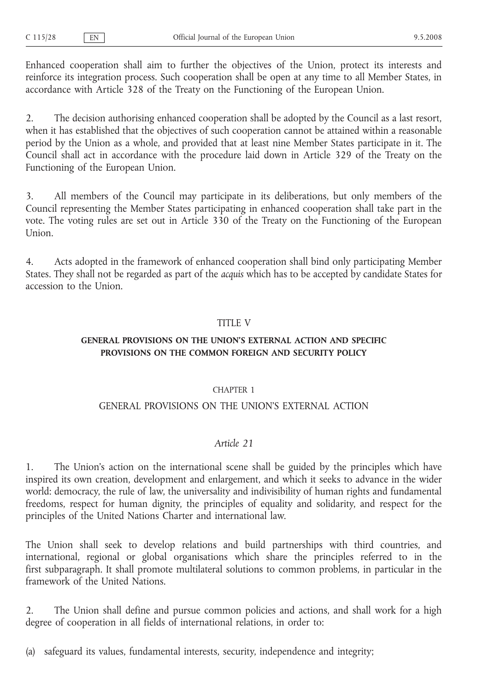Enhanced cooperation shall aim to further the objectives of the Union, protect its interests and reinforce its integration process. Such cooperation shall be open at any time to all Member States, in accordance with Article 328 of the Treaty on the Functioning of the European Union.

2. The decision authorising enhanced cooperation shall be adopted by the Council as a last resort, when it has established that the objectives of such cooperation cannot be attained within a reasonable period by the Union as a whole, and provided that at least nine Member States participate in it. The Council shall act in accordance with the procedure laid down in Article 329 of the Treaty on the Functioning of the European Union.

3. All members of the Council may participate in its deliberations, but only members of the Council representing the Member States participating in enhanced cooperation shall take part in the vote. The voting rules are set out in Article 330 of the Treaty on the Functioning of the European Union.

4. Acts adopted in the framework of enhanced cooperation shall bind only participating Member States. They shall not be regarded as part of the *acquis* which has to be accepted by candidate States for accession to the Union.

#### TITLE V

## **GENERAL PROVISIONS ON THE UNION'S EXTERNAL ACTION AND SPECIFIC PROVISIONS ON THE COMMON FOREIGN AND SECURITY POLICY**

#### CHAPTER 1

## GENERAL PROVISIONS ON THE UNION'S EXTERNAL ACTION

#### *Article 21*

1. The Union's action on the international scene shall be guided by the principles which have inspired its own creation, development and enlargement, and which it seeks to advance in the wider world: democracy, the rule of law, the universality and indivisibility of human rights and fundamental freedoms, respect for human dignity, the principles of equality and solidarity, and respect for the principles of the United Nations Charter and international law.

The Union shall seek to develop relations and build partnerships with third countries, and international, regional or global organisations which share the principles referred to in the first subparagraph. It shall promote multilateral solutions to common problems, in particular in the framework of the United Nations.

2. The Union shall define and pursue common policies and actions, and shall work for a high degree of cooperation in all fields of international relations, in order to:

(a) safeguard its values, fundamental interests, security, independence and integrity;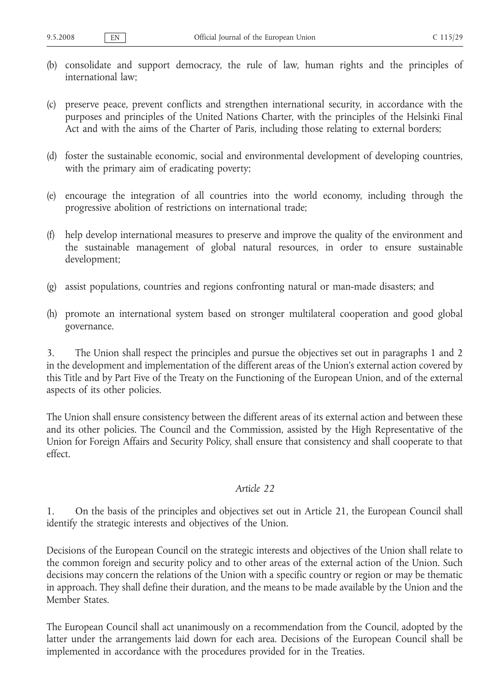- (b) consolidate and support democracy, the rule of law, human rights and the principles of international law;
- (c) preserve peace, prevent conflicts and strengthen international security, in accordance with the purposes and principles of the United Nations Charter, with the principles of the Helsinki Final Act and with the aims of the Charter of Paris, including those relating to external borders;
- (d) foster the sustainable economic, social and environmental development of developing countries, with the primary aim of eradicating poverty;
- (e) encourage the integration of all countries into the world economy, including through the progressive abolition of restrictions on international trade;
- (f) help develop international measures to preserve and improve the quality of the environment and the sustainable management of global natural resources, in order to ensure sustainable development;
- (g) assist populations, countries and regions confronting natural or man-made disasters; and
- (h) promote an international system based on stronger multilateral cooperation and good global governance.

3. The Union shall respect the principles and pursue the objectives set out in paragraphs 1 and 2 in the development and implementation of the different areas of the Union's external action covered by this Title and by Part Five of the Treaty on the Functioning of the European Union, and of the external aspects of its other policies.

The Union shall ensure consistency between the different areas of its external action and between these and its other policies. The Council and the Commission, assisted by the High Representative of the Union for Foreign Affairs and Security Policy, shall ensure that consistency and shall cooperate to that effect.

## *Article 22*

1. On the basis of the principles and objectives set out in Article 21, the European Council shall identify the strategic interests and objectives of the Union.

Decisions of the European Council on the strategic interests and objectives of the Union shall relate to the common foreign and security policy and to other areas of the external action of the Union. Such decisions may concern the relations of the Union with a specific country or region or may be thematic in approach. They shall define their duration, and the means to be made available by the Union and the Member States.

The European Council shall act unanimously on a recommendation from the Council, adopted by the latter under the arrangements laid down for each area. Decisions of the European Council shall be implemented in accordance with the procedures provided for in the Treaties.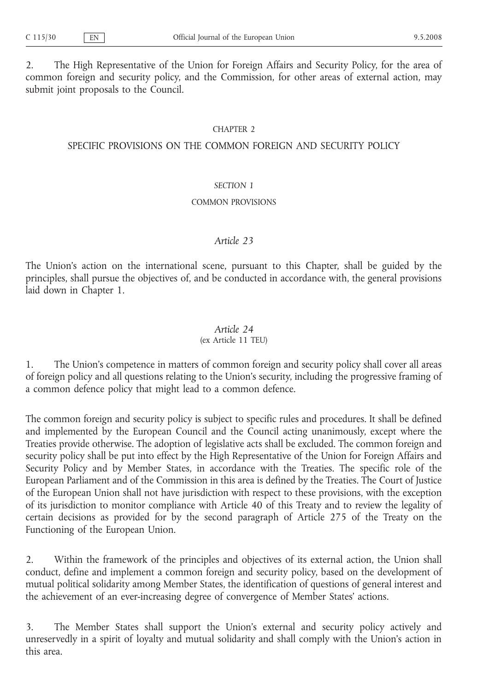2. The High Representative of the Union for Foreign Affairs and Security Policy, for the area of common foreign and security policy, and the Commission, for other areas of external action, may submit joint proposals to the Council.

#### CHAPTER 2

#### SPECIFIC PROVISIONS ON THE COMMON FOREIGN AND SECURITY POLICY

#### *SECTION 1*

#### COMMON PROVISIONS

#### *Article 23*

The Union's action on the international scene, pursuant to this Chapter, shall be guided by the principles, shall pursue the objectives of, and be conducted in accordance with, the general provisions laid down in Chapter 1.

#### *Article 24* (ex Article 11 TEU)

1. The Union's competence in matters of common foreign and security policy shall cover all areas of foreign policy and all questions relating to the Union's security, including the progressive framing of a common defence policy that might lead to a common defence.

The common foreign and security policy is subject to specific rules and procedures. It shall be defined and implemented by the European Council and the Council acting unanimously, except where the Treaties provide otherwise. The adoption of legislative acts shall be excluded. The common foreign and security policy shall be put into effect by the High Representative of the Union for Foreign Affairs and Security Policy and by Member States, in accordance with the Treaties. The specific role of the European Parliament and of the Commission in this area is defined by the Treaties. The Court of Justice of the European Union shall not have jurisdiction with respect to these provisions, with the exception of its jurisdiction to monitor compliance with Article 40 of this Treaty and to review the legality of certain decisions as provided for by the second paragraph of Article 275 of the Treaty on the Functioning of the European Union.

2. Within the framework of the principles and objectives of its external action, the Union shall conduct, define and implement a common foreign and security policy, based on the development of mutual political solidarity among Member States, the identification of questions of general interest and the achievement of an ever-increasing degree of convergence of Member States' actions.

3. The Member States shall support the Union's external and security policy actively and unreservedly in a spirit of loyalty and mutual solidarity and shall comply with the Union's action in this area.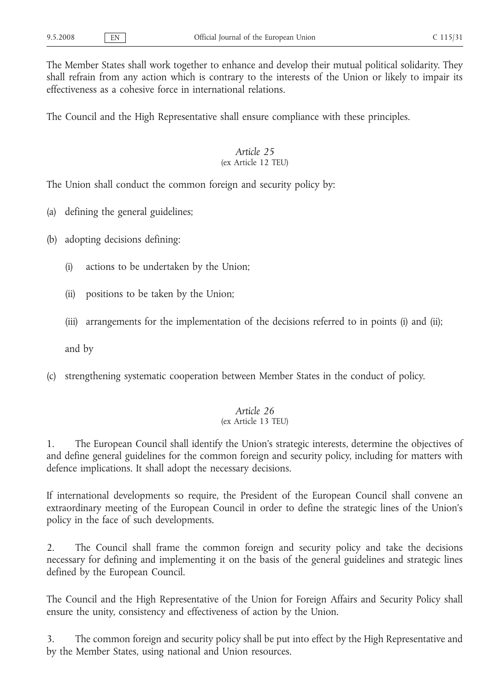The Member States shall work together to enhance and develop their mutual political solidarity. They shall refrain from any action which is contrary to the interests of the Union or likely to impair its effectiveness as a cohesive force in international relations.

The Council and the High Representative shall ensure compliance with these principles.

#### *Article 25* (ex Article 12 TEU)

The Union shall conduct the common foreign and security policy by:

(a) defining the general guidelines;

(b) adopting decisions defining:

- (i) actions to be undertaken by the Union;
- (ii) positions to be taken by the Union;
- (iii) arrangements for the implementation of the decisions referred to in points (i) and (ii);

and by

(c) strengthening systematic cooperation between Member States in the conduct of policy.

#### *Article 26* (ex Article 13 TEU)

1. The European Council shall identify the Union's strategic interests, determine the objectives of and define general guidelines for the common foreign and security policy, including for matters with defence implications. It shall adopt the necessary decisions.

If international developments so require, the President of the European Council shall convene an extraordinary meeting of the European Council in order to define the strategic lines of the Union's policy in the face of such developments.

2. The Council shall frame the common foreign and security policy and take the decisions necessary for defining and implementing it on the basis of the general guidelines and strategic lines defined by the European Council.

The Council and the High Representative of the Union for Foreign Affairs and Security Policy shall ensure the unity, consistency and effectiveness of action by the Union.

3. The common foreign and security policy shall be put into effect by the High Representative and by the Member States, using national and Union resources.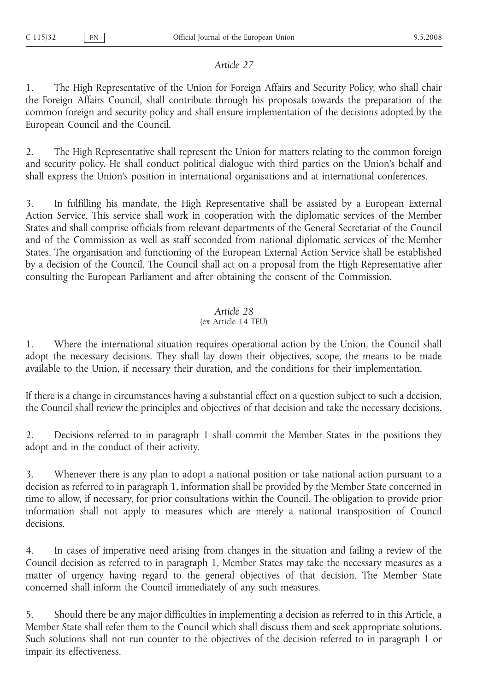## *Article 27*

1. The High Representative of the Union for Foreign Affairs and Security Policy, who shall chair the Foreign Affairs Council, shall contribute through his proposals towards the preparation of the common foreign and security policy and shall ensure implementation of the decisions adopted by the European Council and the Council.

2. The High Representative shall represent the Union for matters relating to the common foreign and security policy. He shall conduct political dialogue with third parties on the Union's behalf and shall express the Union's position in international organisations and at international conferences.

3. In fulfilling his mandate, the High Representative shall be assisted by a European External Action Service. This service shall work in cooperation with the diplomatic services of the Member States and shall comprise officials from relevant departments of the General Secretariat of the Council and of the Commission as well as staff seconded from national diplomatic services of the Member States. The organisation and functioning of the European External Action Service shall be established by a decision of the Council. The Council shall act on a proposal from the High Representative after consulting the European Parliament and after obtaining the consent of the Commission.

#### *Article 28* (ex Article 14 TEU)

1. Where the international situation requires operational action by the Union, the Council shall adopt the necessary decisions. They shall lay down their objectives, scope, the means to be made available to the Union, if necessary their duration, and the conditions for their implementation.

If there is a change in circumstances having a substantial effect on a question subject to such a decision, the Council shall review the principles and objectives of that decision and take the necessary decisions.

2. Decisions referred to in paragraph 1 shall commit the Member States in the positions they adopt and in the conduct of their activity.

3. Whenever there is any plan to adopt a national position or take national action pursuant to a decision as referred to in paragraph 1, information shall be provided by the Member State concerned in time to allow, if necessary, for prior consultations within the Council. The obligation to provide prior information shall not apply to measures which are merely a national transposition of Council decisions.

4. In cases of imperative need arising from changes in the situation and failing a review of the Council decision as referred to in paragraph 1, Member States may take the necessary measures as a matter of urgency having regard to the general objectives of that decision. The Member State concerned shall inform the Council immediately of any such measures.

5. Should there be any major difficulties in implementing a decision as referred to in this Article, a Member State shall refer them to the Council which shall discuss them and seek appropriate solutions. Such solutions shall not run counter to the objectives of the decision referred to in paragraph 1 or impair its effectiveness.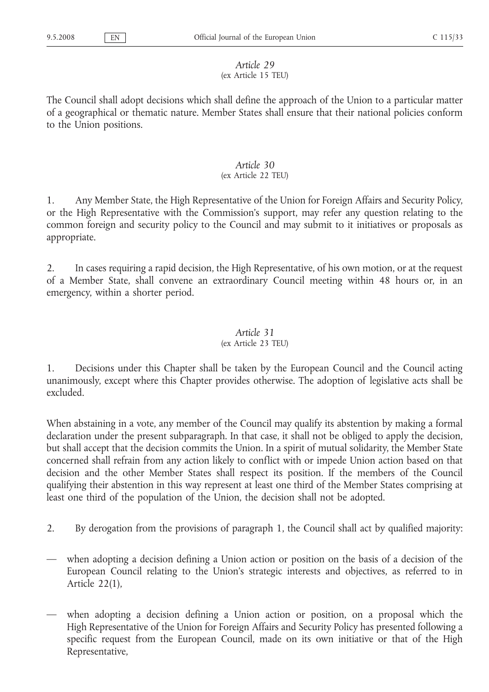#### *Article 29* (ex Article 15 TEU)

The Council shall adopt decisions which shall define the approach of the Union to a particular matter of a geographical or thematic nature. Member States shall ensure that their national policies conform to the Union positions.

#### *Article 30* (ex Article 22 TEU)

1. Any Member State, the High Representative of the Union for Foreign Affairs and Security Policy, or the High Representative with the Commission's support, may refer any question relating to the common foreign and security policy to the Council and may submit to it initiatives or proposals as appropriate.

2. In cases requiring a rapid decision, the High Representative, of his own motion, or at the request of a Member State, shall convene an extraordinary Council meeting within 48 hours or, in an emergency, within a shorter period.

## *Article 31* (ex Article 23 TEU)

1. Decisions under this Chapter shall be taken by the European Council and the Council acting unanimously, except where this Chapter provides otherwise. The adoption of legislative acts shall be excluded.

When abstaining in a vote, any member of the Council may qualify its abstention by making a formal declaration under the present subparagraph. In that case, it shall not be obliged to apply the decision, but shall accept that the decision commits the Union. In a spirit of mutual solidarity, the Member State concerned shall refrain from any action likely to conflict with or impede Union action based on that decision and the other Member States shall respect its position. If the members of the Council qualifying their abstention in this way represent at least one third of the Member States comprising at least one third of the population of the Union, the decision shall not be adopted.

- 2. By derogation from the provisions of paragraph 1, the Council shall act by qualified majority:
- when adopting a decision defining a Union action or position on the basis of a decision of the European Council relating to the Union's strategic interests and objectives, as referred to in Article 22(1),
- when adopting a decision defining a Union action or position, on a proposal which the High Representative of the Union for Foreign Affairs and Security Policy has presented following a specific request from the European Council, made on its own initiative or that of the High Representative,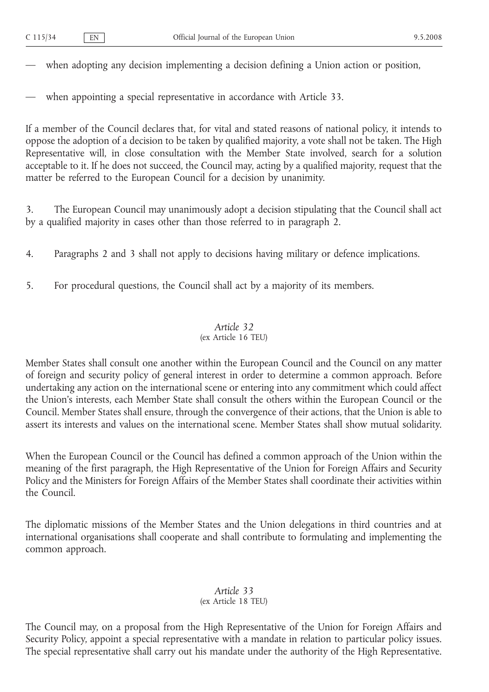when adopting any decision implementing a decision defining a Union action or position,

when appointing a special representative in accordance with Article 33.

If a member of the Council declares that, for vital and stated reasons of national policy, it intends to oppose the adoption of a decision to be taken by qualified majority, a vote shall not be taken. The High Representative will, in close consultation with the Member State involved, search for a solution acceptable to it. If he does not succeed, the Council may, acting by a qualified majority, request that the matter be referred to the European Council for a decision by unanimity.

3. The European Council may unanimously adopt a decision stipulating that the Council shall act by a qualified majority in cases other than those referred to in paragraph 2.

- 4. Paragraphs 2 and 3 shall not apply to decisions having military or defence implications.
- 5. For procedural questions, the Council shall act by a majority of its members.

#### *Article 32* (ex Article 16 TEU)

Member States shall consult one another within the European Council and the Council on any matter of foreign and security policy of general interest in order to determine a common approach. Before undertaking any action on the international scene or entering into any commitment which could affect the Union's interests, each Member State shall consult the others within the European Council or the Council. Member States shall ensure, through the convergence of their actions, that the Union is able to assert its interests and values on the international scene. Member States shall show mutual solidarity.

When the European Council or the Council has defined a common approach of the Union within the meaning of the first paragraph, the High Representative of the Union for Foreign Affairs and Security Policy and the Ministers for Foreign Affairs of the Member States shall coordinate their activities within the Council.

The diplomatic missions of the Member States and the Union delegations in third countries and at international organisations shall cooperate and shall contribute to formulating and implementing the common approach.

## *Article 33* (ex Article 18 TEU)

The Council may, on a proposal from the High Representative of the Union for Foreign Affairs and Security Policy, appoint a special representative with a mandate in relation to particular policy issues. The special representative shall carry out his mandate under the authority of the High Representative.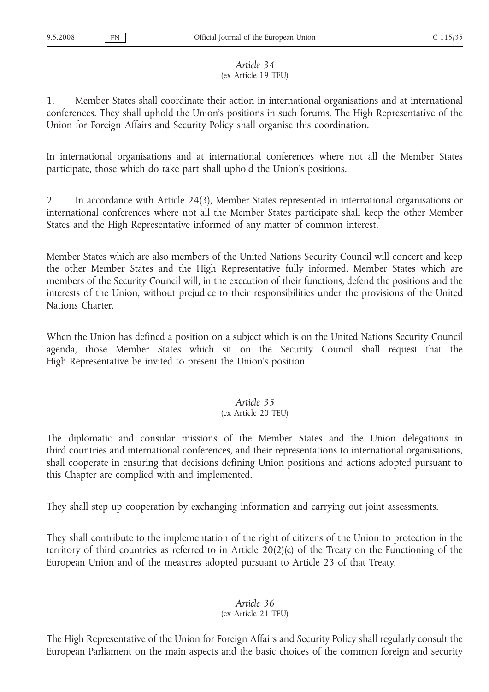## *Article 34* (ex Article 19 TEU)

1. Member States shall coordinate their action in international organisations and at international conferences. They shall uphold the Union's positions in such forums. The High Representative of the Union for Foreign Affairs and Security Policy shall organise this coordination.

In international organisations and at international conferences where not all the Member States participate, those which do take part shall uphold the Union's positions.

2. In accordance with Article 24(3), Member States represented in international organisations or international conferences where not all the Member States participate shall keep the other Member States and the High Representative informed of any matter of common interest.

Member States which are also members of the United Nations Security Council will concert and keep the other Member States and the High Representative fully informed. Member States which are members of the Security Council will, in the execution of their functions, defend the positions and the interests of the Union, without prejudice to their responsibilities under the provisions of the United Nations Charter.

When the Union has defined a position on a subject which is on the United Nations Security Council agenda, those Member States which sit on the Security Council shall request that the High Representative be invited to present the Union's position.

## *Article 35*

## (ex Article 20 TEU)

The diplomatic and consular missions of the Member States and the Union delegations in third countries and international conferences, and their representations to international organisations, shall cooperate in ensuring that decisions defining Union positions and actions adopted pursuant to this Chapter are complied with and implemented.

They shall step up cooperation by exchanging information and carrying out joint assessments.

They shall contribute to the implementation of the right of citizens of the Union to protection in the territory of third countries as referred to in Article 20(2)(c) of the Treaty on the Functioning of the European Union and of the measures adopted pursuant to Article 23 of that Treaty.

#### *Article 36* (ex Article 21 TEU)

The High Representative of the Union for Foreign Affairs and Security Policy shall regularly consult the European Parliament on the main aspects and the basic choices of the common foreign and security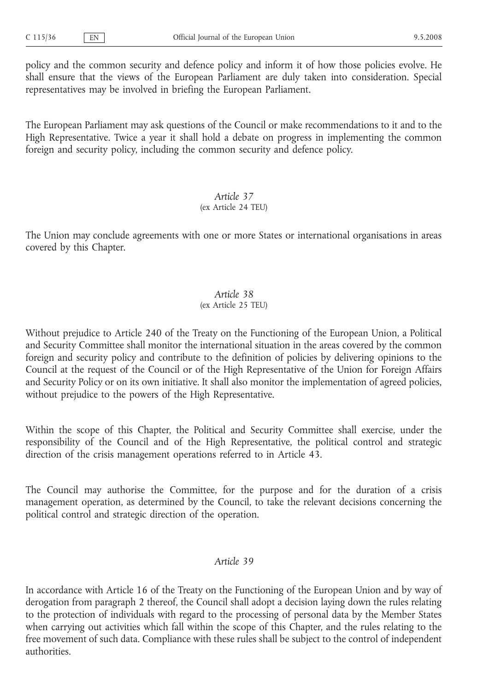policy and the common security and defence policy and inform it of how those policies evolve. He shall ensure that the views of the European Parliament are duly taken into consideration. Special representatives may be involved in briefing the European Parliament.

The European Parliament may ask questions of the Council or make recommendations to it and to the High Representative. Twice a year it shall hold a debate on progress in implementing the common foreign and security policy, including the common security and defence policy.

#### *Article 37* (ex Article 24 TEU)

The Union may conclude agreements with one or more States or international organisations in areas covered by this Chapter.

## *Article 38* (ex Article 25 TEU)

Without prejudice to Article 240 of the Treaty on the Functioning of the European Union, a Political and Security Committee shall monitor the international situation in the areas covered by the common foreign and security policy and contribute to the definition of policies by delivering opinions to the Council at the request of the Council or of the High Representative of the Union for Foreign Affairs and Security Policy or on its own initiative. It shall also monitor the implementation of agreed policies, without prejudice to the powers of the High Representative.

Within the scope of this Chapter, the Political and Security Committee shall exercise, under the responsibility of the Council and of the High Representative, the political control and strategic direction of the crisis management operations referred to in Article 43.

The Council may authorise the Committee, for the purpose and for the duration of a crisis management operation, as determined by the Council, to take the relevant decisions concerning the political control and strategic direction of the operation.

## *Article 39*

In accordance with Article 16 of the Treaty on the Functioning of the European Union and by way of derogation from paragraph 2 thereof, the Council shall adopt a decision laying down the rules relating to the protection of individuals with regard to the processing of personal data by the Member States when carrying out activities which fall within the scope of this Chapter, and the rules relating to the free movement of such data. Compliance with these rules shall be subject to the control of independent authorities.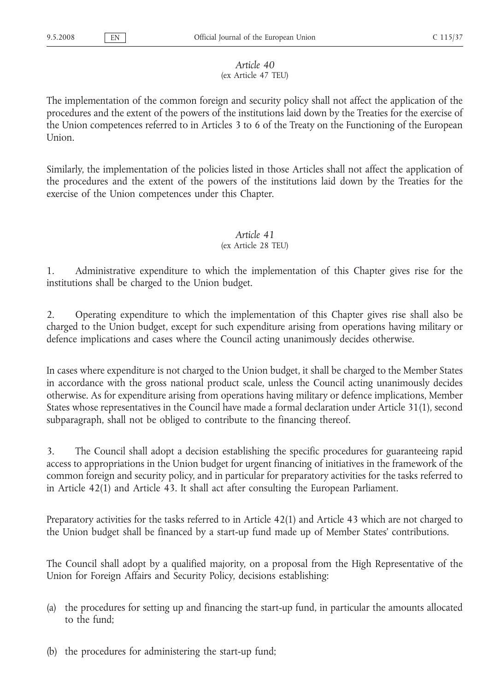## *Article 40* (ex Article 47 TEU)

The implementation of the common foreign and security policy shall not affect the application of the procedures and the extent of the powers of the institutions laid down by the Treaties for the exercise of the Union competences referred to in Articles 3 to 6 of the Treaty on the Functioning of the European Union.

Similarly, the implementation of the policies listed in those Articles shall not affect the application of the procedures and the extent of the powers of the institutions laid down by the Treaties for the exercise of the Union competences under this Chapter.

## *Article 41* (ex Article 28 TEU)

1. Administrative expenditure to which the implementation of this Chapter gives rise for the institutions shall be charged to the Union budget.

2. Operating expenditure to which the implementation of this Chapter gives rise shall also be charged to the Union budget, except for such expenditure arising from operations having military or defence implications and cases where the Council acting unanimously decides otherwise.

In cases where expenditure is not charged to the Union budget, it shall be charged to the Member States in accordance with the gross national product scale, unless the Council acting unanimously decides otherwise. As for expenditure arising from operations having military or defence implications, Member States whose representatives in the Council have made a formal declaration under Article 31(1), second subparagraph, shall not be obliged to contribute to the financing thereof.

3. The Council shall adopt a decision establishing the specific procedures for guaranteeing rapid access to appropriations in the Union budget for urgent financing of initiatives in the framework of the common foreign and security policy, and in particular for preparatory activities for the tasks referred to in Article 42(1) and Article 43. It shall act after consulting the European Parliament.

Preparatory activities for the tasks referred to in Article 42(1) and Article 43 which are not charged to the Union budget shall be financed by a start-up fund made up of Member States' contributions.

The Council shall adopt by a qualified majority, on a proposal from the High Representative of the Union for Foreign Affairs and Security Policy, decisions establishing:

- (a) the procedures for setting up and financing the start-up fund, in particular the amounts allocated to the fund;
- (b) the procedures for administering the start-up fund;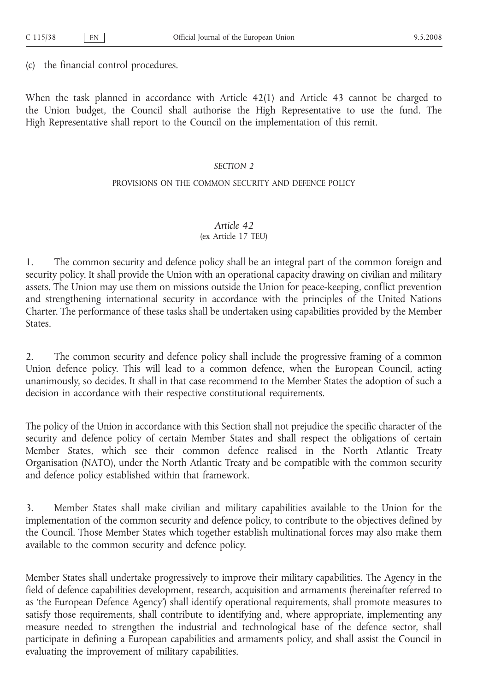(c) the financial control procedures.

When the task planned in accordance with Article 42(1) and Article 43 cannot be charged to the Union budget, the Council shall authorise the High Representative to use the fund. The High Representative shall report to the Council on the implementation of this remit.

#### *SECTION 2*

#### PROVISIONS ON THE COMMON SECURITY AND DEFENCE POLICY

#### *Article 42* (ex Article 17 TEU)

1. The common security and defence policy shall be an integral part of the common foreign and security policy. It shall provide the Union with an operational capacity drawing on civilian and military assets. The Union may use them on missions outside the Union for peace-keeping, conflict prevention and strengthening international security in accordance with the principles of the United Nations Charter. The performance of these tasks shall be undertaken using capabilities provided by the Member States.

2. The common security and defence policy shall include the progressive framing of a common Union defence policy. This will lead to a common defence, when the European Council, acting unanimously, so decides. It shall in that case recommend to the Member States the adoption of such a decision in accordance with their respective constitutional requirements.

The policy of the Union in accordance with this Section shall not prejudice the specific character of the security and defence policy of certain Member States and shall respect the obligations of certain Member States, which see their common defence realised in the North Atlantic Treaty Organisation (NATO), under the North Atlantic Treaty and be compatible with the common security and defence policy established within that framework.

3. Member States shall make civilian and military capabilities available to the Union for the implementation of the common security and defence policy, to contribute to the objectives defined by the Council. Those Member States which together establish multinational forces may also make them available to the common security and defence policy.

Member States shall undertake progressively to improve their military capabilities. The Agency in the field of defence capabilities development, research, acquisition and armaments (hereinafter referred to as 'the European Defence Agency') shall identify operational requirements, shall promote measures to satisfy those requirements, shall contribute to identifying and, where appropriate, implementing any measure needed to strengthen the industrial and technological base of the defence sector, shall participate in defining a European capabilities and armaments policy, and shall assist the Council in evaluating the improvement of military capabilities.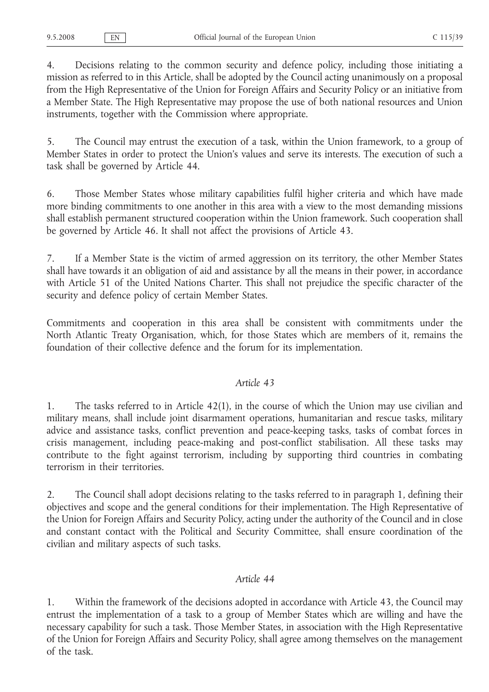4. Decisions relating to the common security and defence policy, including those initiating a mission as referred to in this Article, shall be adopted by the Council acting unanimously on a proposal from the High Representative of the Union for Foreign Affairs and Security Policy or an initiative from a Member State. The High Representative may propose the use of both national resources and Union instruments, together with the Commission where appropriate.

5. The Council may entrust the execution of a task, within the Union framework, to a group of Member States in order to protect the Union's values and serve its interests. The execution of such a task shall be governed by Article 44.

6. Those Member States whose military capabilities fulfil higher criteria and which have made more binding commitments to one another in this area with a view to the most demanding missions shall establish permanent structured cooperation within the Union framework. Such cooperation shall be governed by Article 46. It shall not affect the provisions of Article 43.

7. If a Member State is the victim of armed aggression on its territory, the other Member States shall have towards it an obligation of aid and assistance by all the means in their power, in accordance with Article 51 of the United Nations Charter. This shall not prejudice the specific character of the security and defence policy of certain Member States.

Commitments and cooperation in this area shall be consistent with commitments under the North Atlantic Treaty Organisation, which, for those States which are members of it, remains the foundation of their collective defence and the forum for its implementation.

## *Article 43*

1. The tasks referred to in Article 42(1), in the course of which the Union may use civilian and military means, shall include joint disarmament operations, humanitarian and rescue tasks, military advice and assistance tasks, conflict prevention and peace-keeping tasks, tasks of combat forces in crisis management, including peace-making and post-conflict stabilisation. All these tasks may contribute to the fight against terrorism, including by supporting third countries in combating terrorism in their territories.

2. The Council shall adopt decisions relating to the tasks referred to in paragraph 1, defining their objectives and scope and the general conditions for their implementation. The High Representative of the Union for Foreign Affairs and Security Policy, acting under the authority of the Council and in close and constant contact with the Political and Security Committee, shall ensure coordination of the civilian and military aspects of such tasks.

## *Article 44*

1. Within the framework of the decisions adopted in accordance with Article 43, the Council may entrust the implementation of a task to a group of Member States which are willing and have the necessary capability for such a task. Those Member States, in association with the High Representative of the Union for Foreign Affairs and Security Policy, shall agree among themselves on the management of the task.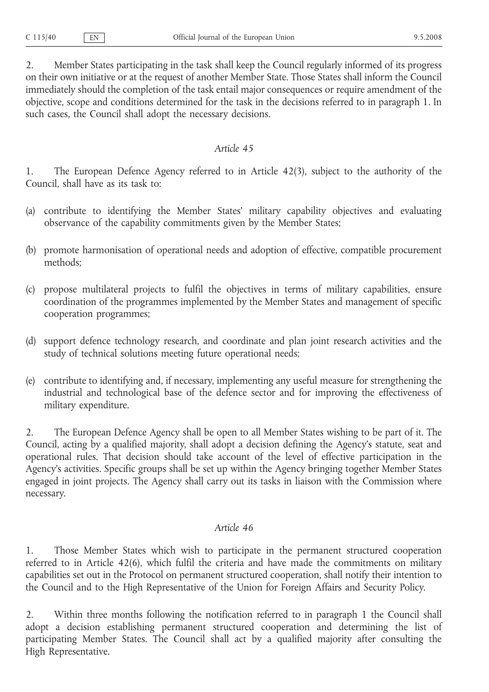2. Member States participating in the task shall keep the Council regularly informed of its progress on their own initiative or at the request of another Member State. Those States shall inform the Council immediately should the completion of the task entail major consequences or require amendment of the objective, scope and conditions determined for the task in the decisions referred to in paragraph 1. In such cases, the Council shall adopt the necessary decisions.

## *Article 45*

1. The European Defence Agency referred to in Article 42(3), subject to the authority of the Council, shall have as its task to:

- (a) contribute to identifying the Member States' military capability objectives and evaluating observance of the capability commitments given by the Member States;
- (b) promote harmonisation of operational needs and adoption of effective, compatible procurement methods;
- (c) propose multilateral projects to fulfil the objectives in terms of military capabilities, ensure coordination of the programmes implemented by the Member States and management of specific cooperation programmes;
- (d) support defence technology research, and coordinate and plan joint research activities and the study of technical solutions meeting future operational needs;
- (e) contribute to identifying and, if necessary, implementing any useful measure for strengthening the industrial and technological base of the defence sector and for improving the effectiveness of military expenditure.

2. The European Defence Agency shall be open to all Member States wishing to be part of it. The Council, acting by a qualified majority, shall adopt a decision defining the Agency's statute, seat and operational rules. That decision should take account of the level of effective participation in the Agency's activities. Specific groups shall be set up within the Agency bringing together Member States engaged in joint projects. The Agency shall carry out its tasks in liaison with the Commission where necessary.

#### *Article 46*

1. Those Member States which wish to participate in the permanent structured cooperation referred to in Article 42(6), which fulfil the criteria and have made the commitments on military capabilities set out in the Protocol on permanent structured cooperation, shall notify their intention to the Council and to the High Representative of the Union for Foreign Affairs and Security Policy.

2. Within three months following the notification referred to in paragraph 1 the Council shall adopt a decision establishing permanent structured cooperation and determining the list of participating Member States. The Council shall act by a qualified majority after consulting the High Representative.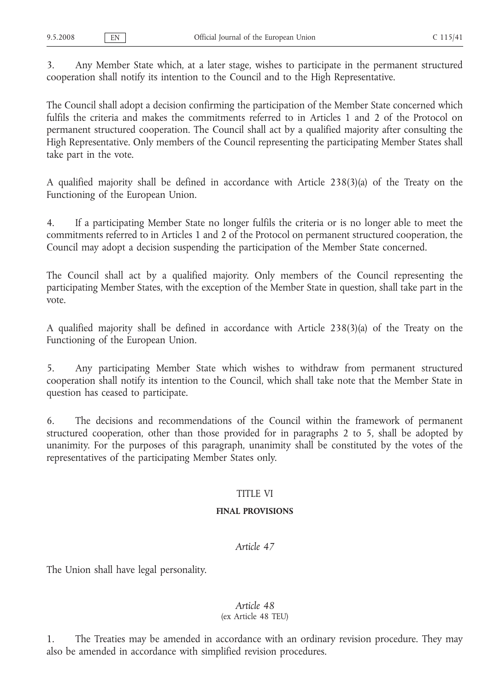3. Any Member State which, at a later stage, wishes to participate in the permanent structured cooperation shall notify its intention to the Council and to the High Representative.

The Council shall adopt a decision confirming the participation of the Member State concerned which fulfils the criteria and makes the commitments referred to in Articles 1 and 2 of the Protocol on permanent structured cooperation. The Council shall act by a qualified majority after consulting the High Representative. Only members of the Council representing the participating Member States shall take part in the vote.

A qualified majority shall be defined in accordance with Article 238(3)(a) of the Treaty on the Functioning of the European Union.

4. If a participating Member State no longer fulfils the criteria or is no longer able to meet the commitments referred to in Articles 1 and 2 of the Protocol on permanent structured cooperation, the Council may adopt a decision suspending the participation of the Member State concerned.

The Council shall act by a qualified majority. Only members of the Council representing the participating Member States, with the exception of the Member State in question, shall take part in the vote.

A qualified majority shall be defined in accordance with Article 238(3)(a) of the Treaty on the Functioning of the European Union.

5. Any participating Member State which wishes to withdraw from permanent structured cooperation shall notify its intention to the Council, which shall take note that the Member State in question has ceased to participate.

6. The decisions and recommendations of the Council within the framework of permanent structured cooperation, other than those provided for in paragraphs 2 to 5, shall be adopted by unanimity. For the purposes of this paragraph, unanimity shall be constituted by the votes of the representatives of the participating Member States only.

## TITLE VI

#### **FINAL PROVISIONS**

## *Article 47*

The Union shall have legal personality.

#### *Article 48* (ex Article 48 TEU)

1. The Treaties may be amended in accordance with an ordinary revision procedure. They may also be amended in accordance with simplified revision procedures.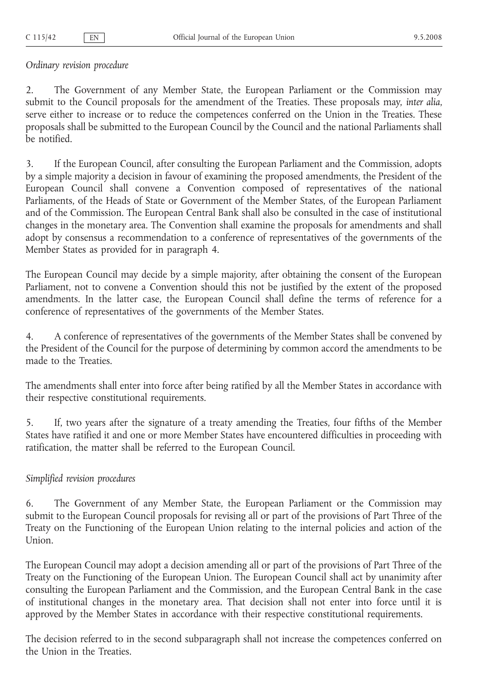## *Ordinary revision procedure*

2. The Government of any Member State, the European Parliament or the Commission may submit to the Council proposals for the amendment of the Treaties. These proposals may, *inter alia*, serve either to increase or to reduce the competences conferred on the Union in the Treaties. These proposals shall be submitted to the European Council by the Council and the national Parliaments shall be notified.

3. If the European Council, after consulting the European Parliament and the Commission, adopts by a simple majority a decision in favour of examining the proposed amendments, the President of the European Council shall convene a Convention composed of representatives of the national Parliaments, of the Heads of State or Government of the Member States, of the European Parliament and of the Commission. The European Central Bank shall also be consulted in the case of institutional changes in the monetary area. The Convention shall examine the proposals for amendments and shall adopt by consensus a recommendation to a conference of representatives of the governments of the Member States as provided for in paragraph 4.

The European Council may decide by a simple majority, after obtaining the consent of the European Parliament, not to convene a Convention should this not be justified by the extent of the proposed amendments. In the latter case, the European Council shall define the terms of reference for a conference of representatives of the governments of the Member States.

4. A conference of representatives of the governments of the Member States shall be convened by the President of the Council for the purpose of determining by common accord the amendments to be made to the Treaties.

The amendments shall enter into force after being ratified by all the Member States in accordance with their respective constitutional requirements.

5. If, two years after the signature of a treaty amending the Treaties, four fifths of the Member States have ratified it and one or more Member States have encountered difficulties in proceeding with ratification, the matter shall be referred to the European Council.

## *Simplified revision procedures*

6. The Government of any Member State, the European Parliament or the Commission may submit to the European Council proposals for revising all or part of the provisions of Part Three of the Treaty on the Functioning of the European Union relating to the internal policies and action of the Union.

The European Council may adopt a decision amending all or part of the provisions of Part Three of the Treaty on the Functioning of the European Union. The European Council shall act by unanimity after consulting the European Parliament and the Commission, and the European Central Bank in the case of institutional changes in the monetary area. That decision shall not enter into force until it is approved by the Member States in accordance with their respective constitutional requirements.

The decision referred to in the second subparagraph shall not increase the competences conferred on the Union in the Treaties.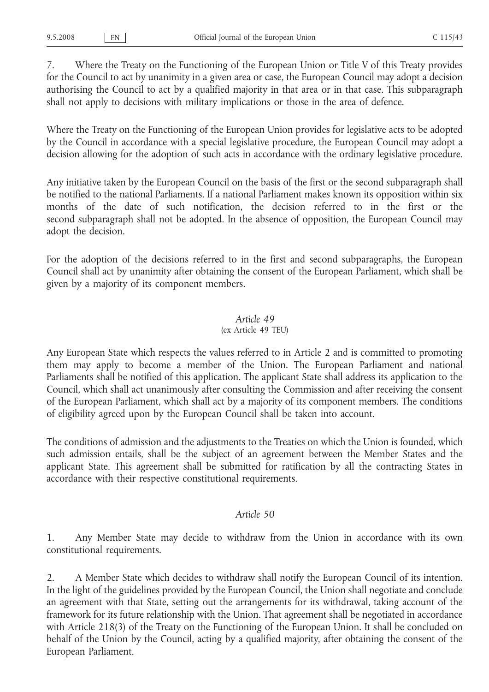7. Where the Treaty on the Functioning of the European Union or Title V of this Treaty provides for the Council to act by unanimity in a given area or case, the European Council may adopt a decision authorising the Council to act by a qualified majority in that area or in that case. This subparagraph shall not apply to decisions with military implications or those in the area of defence.

Where the Treaty on the Functioning of the European Union provides for legislative acts to be adopted by the Council in accordance with a special legislative procedure, the European Council may adopt a decision allowing for the adoption of such acts in accordance with the ordinary legislative procedure.

Any initiative taken by the European Council on the basis of the first or the second subparagraph shall be notified to the national Parliaments. If a national Parliament makes known its opposition within six months of the date of such notification, the decision referred to in the first or the second subparagraph shall not be adopted. In the absence of opposition, the European Council may adopt the decision.

For the adoption of the decisions referred to in the first and second subparagraphs, the European Council shall act by unanimity after obtaining the consent of the European Parliament, which shall be given by a majority of its component members.

#### *Article 49* (ex Article 49 TEU)

Any European State which respects the values referred to in Article 2 and is committed to promoting them may apply to become a member of the Union. The European Parliament and national Parliaments shall be notified of this application. The applicant State shall address its application to the Council, which shall act unanimously after consulting the Commission and after receiving the consent of the European Parliament, which shall act by a majority of its component members. The conditions of eligibility agreed upon by the European Council shall be taken into account.

The conditions of admission and the adjustments to the Treaties on which the Union is founded, which such admission entails, shall be the subject of an agreement between the Member States and the applicant State. This agreement shall be submitted for ratification by all the contracting States in accordance with their respective constitutional requirements.

## *Article 50*

1. Any Member State may decide to withdraw from the Union in accordance with its own constitutional requirements.

2. A Member State which decides to withdraw shall notify the European Council of its intention. In the light of the guidelines provided by the European Council, the Union shall negotiate and conclude an agreement with that State, setting out the arrangements for its withdrawal, taking account of the framework for its future relationship with the Union. That agreement shall be negotiated in accordance with Article 218(3) of the Treaty on the Functioning of the European Union. It shall be concluded on behalf of the Union by the Council, acting by a qualified majority, after obtaining the consent of the European Parliament.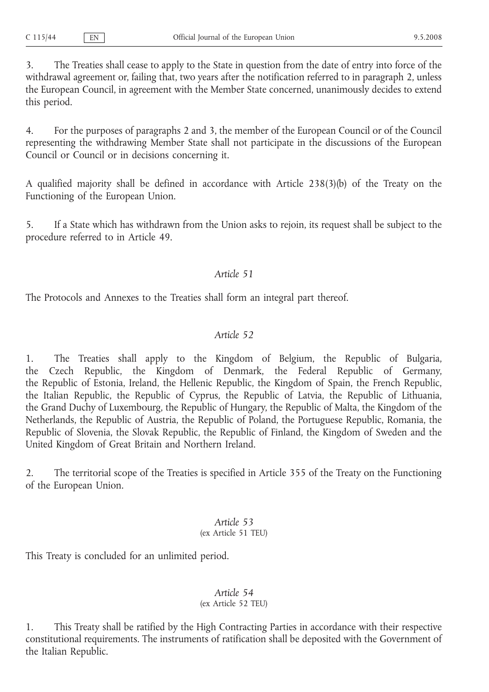3. The Treaties shall cease to apply to the State in question from the date of entry into force of the withdrawal agreement or, failing that, two years after the notification referred to in paragraph 2, unless the European Council, in agreement with the Member State concerned, unanimously decides to extend this period.

4. For the purposes of paragraphs 2 and 3, the member of the European Council or of the Council representing the withdrawing Member State shall not participate in the discussions of the European Council or Council or in decisions concerning it.

A qualified majority shall be defined in accordance with Article 238(3)(b) of the Treaty on the Functioning of the European Union.

5. If a State which has withdrawn from the Union asks to rejoin, its request shall be subject to the procedure referred to in Article 49.

## *Article 51*

The Protocols and Annexes to the Treaties shall form an integral part thereof.

#### *Article 52*

1. The Treaties shall apply to the Kingdom of Belgium, the Republic of Bulgaria, the Czech Republic, the Kingdom of Denmark, the Federal Republic of Germany, the Republic of Estonia, Ireland, the Hellenic Republic, the Kingdom of Spain, the French Republic, the Italian Republic, the Republic of Cyprus, the Republic of Latvia, the Republic of Lithuania, the Grand Duchy of Luxembourg, the Republic of Hungary, the Republic of Malta, the Kingdom of the Netherlands, the Republic of Austria, the Republic of Poland, the Portuguese Republic, Romania, the Republic of Slovenia, the Slovak Republic, the Republic of Finland, the Kingdom of Sweden and the United Kingdom of Great Britain and Northern Ireland.

2. The territorial scope of the Treaties is specified in Article 355 of the Treaty on the Functioning of the European Union.

#### *Article 53* (ex Article 51 TEU)

This Treaty is concluded for an unlimited period.

#### *Article 54* (ex Article 52 TEU)

1. This Treaty shall be ratified by the High Contracting Parties in accordance with their respective constitutional requirements. The instruments of ratification shall be deposited with the Government of the Italian Republic.